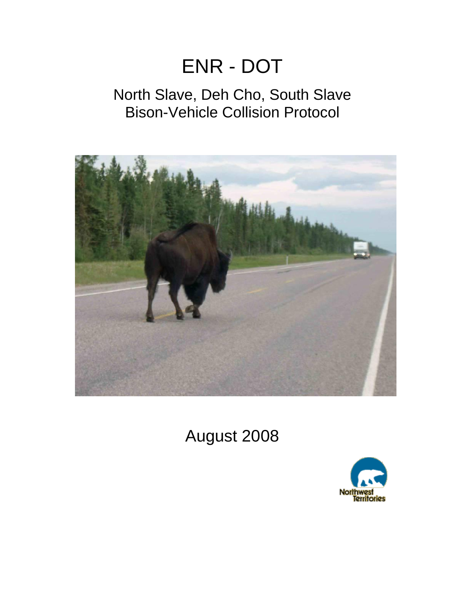# ENR - DOT

# North Slave, Deh Cho, South Slave Bison-Vehicle Collision Protocol



August 2008

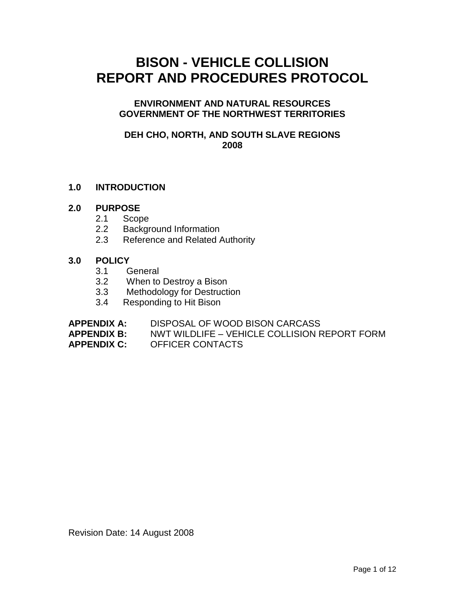# **BISON - VEHICLE COLLISION REPORT AND PROCEDURES PROTOCOL**

# **ENVIRONMENT AND NATURAL RESOURCES GOVERNMENT OF THE NORTHWEST TERRITORIES**

# **DEH CHO, NORTH, AND SOUTH SLAVE REGIONS 2008**

# **1.0 INTRODUCTION**

# **2.0 PURPOSE**

- 2.1 Scope
- 2.2 Background Information
- 2.3 Reference and Related Authority

# **3.0 POLICY**

- 3.1 General
- 3.2 When to Destroy a Bison
- 3.3 Methodology for Destruction
- 3.4 Responding to Hit Bison

| DISPOSAL OF WOOD BISON CARCASS<br><b>APPENDIX A:</b> |  |
|------------------------------------------------------|--|
|------------------------------------------------------|--|

**APPENDIX B:** NWT WILDLIFE – VEHICLE COLLISION REPORT FORM

# **APPENDIX C:** OFFICER CONTACTS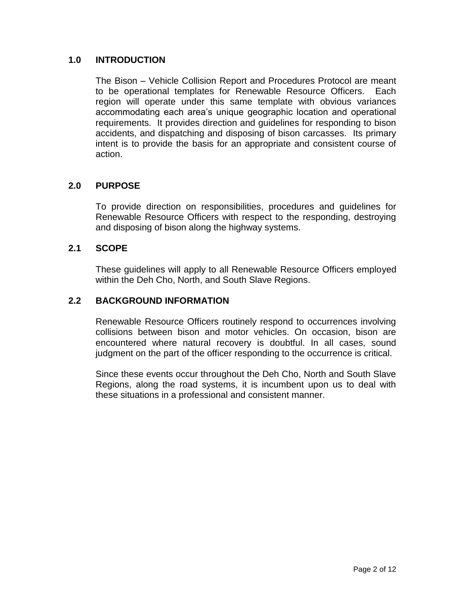# **1.0 INTRODUCTION**

The Bison – Vehicle Collision Report and Procedures Protocol are meant to be operational templates for Renewable Resource Officers. Each region will operate under this same template with obvious variances accommodating each area's unique geographic location and operational requirements. It provides direction and guidelines for responding to bison accidents, and dispatching and disposing of bison carcasses. Its primary intent is to provide the basis for an appropriate and consistent course of action.

# **2.0 PURPOSE**

To provide direction on responsibilities, procedures and guidelines for Renewable Resource Officers with respect to the responding, destroying and disposing of bison along the highway systems.

# **2.1 SCOPE**

These guidelines will apply to all Renewable Resource Officers employed within the Deh Cho, North, and South Slave Regions.

# **2.2 BACKGROUND INFORMATION**

Renewable Resource Officers routinely respond to occurrences involving collisions between bison and motor vehicles. On occasion, bison are encountered where natural recovery is doubtful. In all cases, sound judgment on the part of the officer responding to the occurrence is critical.

Since these events occur throughout the Deh Cho, North and South Slave Regions, along the road systems, it is incumbent upon us to deal with these situations in a professional and consistent manner.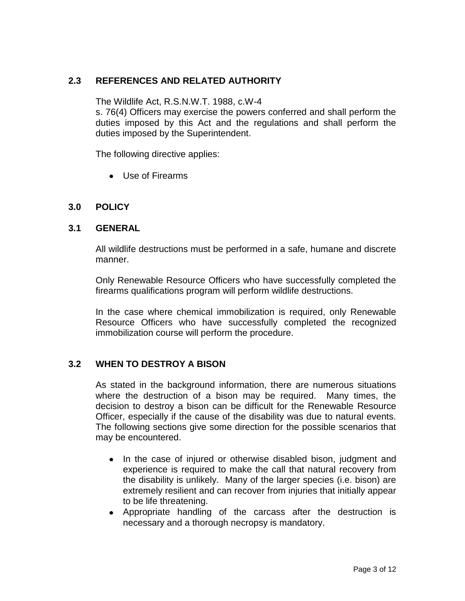# **2.3 REFERENCES AND RELATED AUTHORITY**

The Wildlife Act, R.S.N.W.T. 1988, c.W-4

s. 76(4) Officers may exercise the powers conferred and shall perform the duties imposed by this Act and the regulations and shall perform the duties imposed by the Superintendent.

The following directive applies:

Use of Firearms

# **3.0 POLICY**

#### **3.1 GENERAL**

All wildlife destructions must be performed in a safe, humane and discrete manner.

Only Renewable Resource Officers who have successfully completed the firearms qualifications program will perform wildlife destructions.

In the case where chemical immobilization is required, only Renewable Resource Officers who have successfully completed the recognized immobilization course will perform the procedure.

# **3.2 WHEN TO DESTROY A BISON**

As stated in the background information, there are numerous situations where the destruction of a bison may be required. Many times, the decision to destroy a bison can be difficult for the Renewable Resource Officer, especially if the cause of the disability was due to natural events. The following sections give some direction for the possible scenarios that may be encountered.

- In the case of injured or otherwise disabled bison, judgment and experience is required to make the call that natural recovery from the disability is unlikely. Many of the larger species (i.e. bison) are extremely resilient and can recover from injuries that initially appear to be life threatening.
- Appropriate handling of the carcass after the destruction is necessary and a thorough necropsy is mandatory.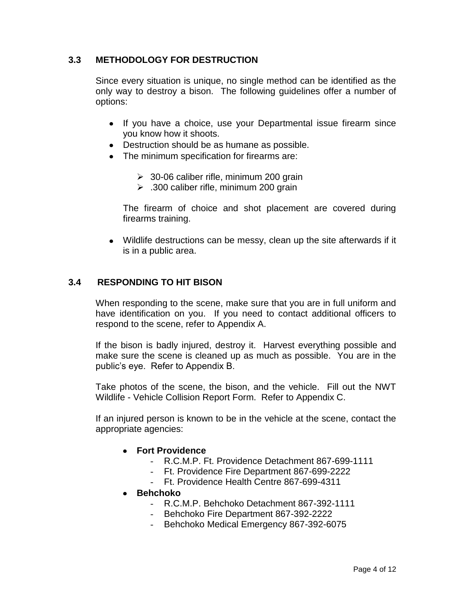# **3.3 METHODOLOGY FOR DESTRUCTION**

Since every situation is unique, no single method can be identified as the only way to destroy a bison. The following guidelines offer a number of options:

- If you have a choice, use your Departmental issue firearm since you know how it shoots.
- Destruction should be as humane as possible.
- The minimum specification for firearms are:
	- $\geq$  30-06 caliber rifle, minimum 200 grain
	- $\geq$  .300 caliber rifle, minimum 200 grain

The firearm of choice and shot placement are covered during firearms training.

Wildlife destructions can be messy, clean up the site afterwards if it is in a public area.

#### **3.4 RESPONDING TO HIT BISON**

When responding to the scene, make sure that you are in full uniform and have identification on you. If you need to contact additional officers to respond to the scene, refer to Appendix A.

If the bison is badly injured, destroy it. Harvest everything possible and make sure the scene is cleaned up as much as possible. You are in the public's eye. Refer to Appendix B.

Take photos of the scene, the bison, and the vehicle. Fill out the NWT Wildlife - Vehicle Collision Report Form. Refer to Appendix C.

If an injured person is known to be in the vehicle at the scene, contact the appropriate agencies:

- **Fort Providence**
	- R.C.M.P. Ft. Providence Detachment 867-699-1111
	- Ft. Providence Fire Department 867-699-2222
	- Ft. Providence Health Centre 867-699-4311
- **Behchoko**
	- R.C.M.P. Behchoko Detachment 867-392-1111
	- Behchoko Fire Department 867-392-2222
	- Behchoko Medical Emergency 867-392-6075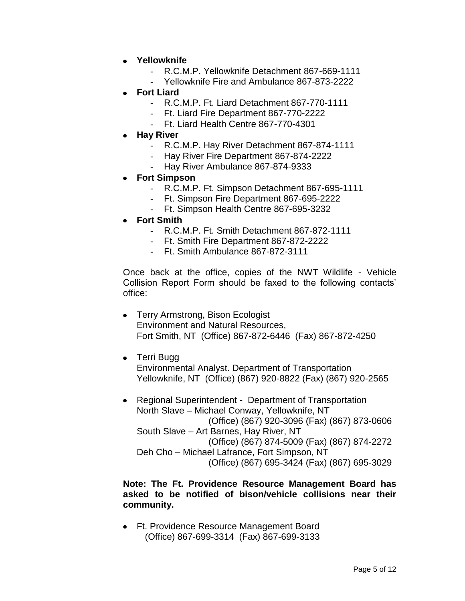- **Yellowknife**
	- R.C.M.P. Yellowknife Detachment 867-669-1111
	- Yellowknife Fire and Ambulance 867-873-2222
- **Fort Liard**
	- R.C.M.P. Ft. Liard Detachment 867-770-1111
	- Ft. Liard Fire Department 867-770-2222
	- Ft. Liard Health Centre 867-770-4301
- **Hay River**
	- R.C.M.P. Hay River Detachment 867-874-1111
	- Hay River Fire Department 867-874-2222
	- Hay River Ambulance 867-874-9333
- **Fort Simpson**
	- R.C.M.P. Ft. Simpson Detachment 867-695-1111
	- Ft. Simpson Fire Department 867-695-2222
	- Ft. Simpson Health Centre 867-695-3232
- **Fort Smith**
	- R.C.M.P. Ft. Smith Detachment 867-872-1111
	- Ft. Smith Fire Department 867-872-2222
	- Ft. Smith Ambulance 867-872-3111

Once back at the office, copies of the NWT Wildlife - Vehicle Collision Report Form should be faxed to the following contacts' office:

- Terry Armstrong, Bison Ecologist Environment and Natural Resources, Fort Smith, NT (Office) 867-872-6446 (Fax) 867-872-4250
- Terri Bugg
	- Environmental Analyst. Department of Transportation Yellowknife, NT (Office) (867) 920-8822 (Fax) (867) 920-2565
- Regional Superintendent Department of Transportation North Slave – Michael Conway, Yellowknife, NT (Office) (867) 920-3096 (Fax) (867) 873-0606 South Slave – Art Barnes, Hay River, NT (Office) (867) 874-5009 (Fax) (867) 874-2272 Deh Cho – Michael Lafrance, Fort Simpson, NT (Office) (867) 695-3424 (Fax) (867) 695-3029

#### **Note: The Ft. Providence Resource Management Board has asked to be notified of bison/vehicle collisions near their community.**

Ft. Providence Resource Management Board (Office) 867-699-3314 (Fax) 867-699-3133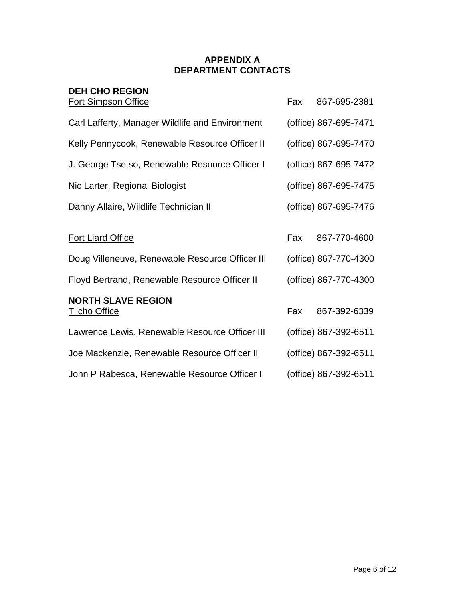# **APPENDIX A DEPARTMENT CONTACTS**

| <b>DEH CHO REGION</b>                             |     |                       |
|---------------------------------------------------|-----|-----------------------|
| <b>Fort Simpson Office</b>                        | Fax | 867-695-2381          |
| Carl Lafferty, Manager Wildlife and Environment   |     | (office) 867-695-7471 |
| Kelly Pennycook, Renewable Resource Officer II    |     | (office) 867-695-7470 |
| J. George Tsetso, Renewable Resource Officer I    |     | (office) 867-695-7472 |
| Nic Larter, Regional Biologist                    |     | (office) 867-695-7475 |
| Danny Allaire, Wildlife Technician II             |     | (office) 867-695-7476 |
| <b>Fort Liard Office</b>                          | Fax | 867-770-4600          |
| Doug Villeneuve, Renewable Resource Officer III   |     | (office) 867-770-4300 |
| Floyd Bertrand, Renewable Resource Officer II     |     | (office) 867-770-4300 |
| <b>NORTH SLAVE REGION</b><br><b>Tlicho Office</b> | Fax | 867-392-6339          |
| Lawrence Lewis, Renewable Resource Officer III    |     | (office) 867-392-6511 |
| Joe Mackenzie, Renewable Resource Officer II      |     | (office) 867-392-6511 |
| John P Rabesca, Renewable Resource Officer I      |     | (office) 867-392-6511 |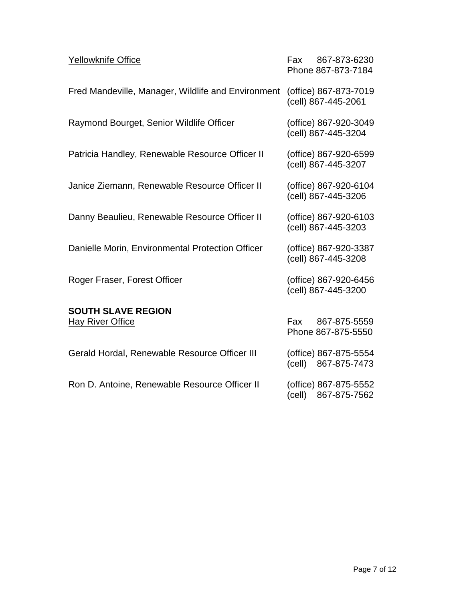| Yellowknife Office                                 |                     | Fax 867-873-6230<br>Phone 867-873-7184       |
|----------------------------------------------------|---------------------|----------------------------------------------|
| Fred Mandeville, Manager, Wildlife and Environment | (cell) 867-445-2061 | (office) 867-873-7019                        |
| Raymond Bourget, Senior Wildlife Officer           | (cell) 867-445-3204 | (office) 867-920-3049                        |
| Patricia Handley, Renewable Resource Officer II    | (cell) 867-445-3207 | (office) 867-920-6599                        |
| Janice Ziemann, Renewable Resource Officer II      | (cell) 867-445-3206 | (office) 867-920-6104                        |
| Danny Beaulieu, Renewable Resource Officer II      | (cell) 867-445-3203 | (office) 867-920-6103                        |
| Danielle Morin, Environmental Protection Officer   | (cell) 867-445-3208 | (office) 867-920-3387                        |
| Roger Fraser, Forest Officer                       |                     | (office) 867-920-6456<br>(cell) 867-445-3200 |
| <b>SOUTH SLAVE REGION</b>                          |                     |                                              |
| <b>Hay River Office</b>                            | Fax                 | 867-875-5559<br>Phone 867-875-5550           |
| Gerald Hordal, Renewable Resource Officer III      |                     | (office) 867-875-5554<br>(cell) 867-875-7473 |
| Ron D. Antoine, Renewable Resource Officer II      | (cell)              | (office) 867-875-5552<br>867-875-7562        |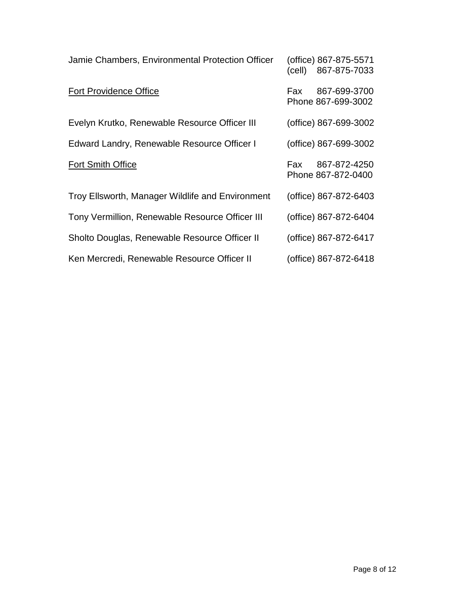| Jamie Chambers, Environmental Protection Officer | (cell) | (office) 867-875-5571<br>867-875-7033 |
|--------------------------------------------------|--------|---------------------------------------|
| <b>Fort Providence Office</b>                    | Fax    | 867-699-3700<br>Phone 867-699-3002    |
| Evelyn Krutko, Renewable Resource Officer III    |        | (office) 867-699-3002                 |
| Edward Landry, Renewable Resource Officer I      |        | (office) 867-699-3002                 |
| Fort Smith Office                                | Fax:   | 867-872-4250<br>Phone 867-872-0400    |
| Troy Ellsworth, Manager Wildlife and Environment |        | (office) 867-872-6403                 |
| Tony Vermillion, Renewable Resource Officer III  |        | (office) 867-872-6404                 |
| Sholto Douglas, Renewable Resource Officer II    |        | (office) 867-872-6417                 |
| Ken Mercredi, Renewable Resource Officer II      |        | (office) 867-872-6418                 |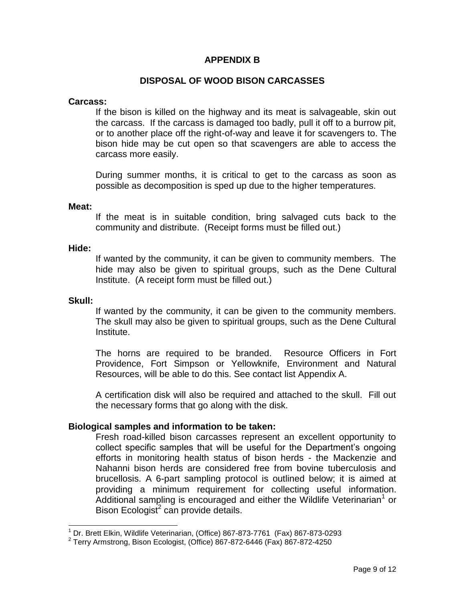# **APPENDIX B**

# **DISPOSAL OF WOOD BISON CARCASSES**

#### **Carcass:**

If the bison is killed on the highway and its meat is salvageable, skin out the carcass. If the carcass is damaged too badly, pull it off to a burrow pit, or to another place off the right-of-way and leave it for scavengers to. The bison hide may be cut open so that scavengers are able to access the carcass more easily.

During summer months, it is critical to get to the carcass as soon as possible as decomposition is sped up due to the higher temperatures.

#### **Meat:**

If the meat is in suitable condition, bring salvaged cuts back to the community and distribute. (Receipt forms must be filled out.)

#### **Hide:**

If wanted by the community, it can be given to community members. The hide may also be given to spiritual groups, such as the Dene Cultural Institute. (A receipt form must be filled out.)

#### **Skull:**

 $\overline{a}$ 

If wanted by the community, it can be given to the community members. The skull may also be given to spiritual groups, such as the Dene Cultural Institute.

The horns are required to be branded. Resource Officers in Fort Providence, Fort Simpson or Yellowknife, Environment and Natural Resources, will be able to do this. See contact list Appendix A.

A certification disk will also be required and attached to the skull. Fill out the necessary forms that go along with the disk.

#### **Biological samples and information to be taken:**

Fresh road-killed bison carcasses represent an excellent opportunity to collect specific samples that will be useful for the Department's ongoing efforts in monitoring health status of bison herds - the Mackenzie and Nahanni bison herds are considered free from bovine tuberculosis and brucellosis. A 6-part sampling protocol is outlined below; it is aimed at providing a minimum requirement for collecting useful information. Additional sampling is encouraged and either the Wildlife Veterinarian<sup>1</sup> or Bison Ecologist<sup>2</sup> can provide details.

 $1$  Dr. Brett Elkin, Wildlife Veterinarian, (Office) 867-873-7761 (Fax) 867-873-0293

 $2$  Terry Armstrong, Bison Ecologist, (Office) 867-872-6446 (Fax) 867-872-4250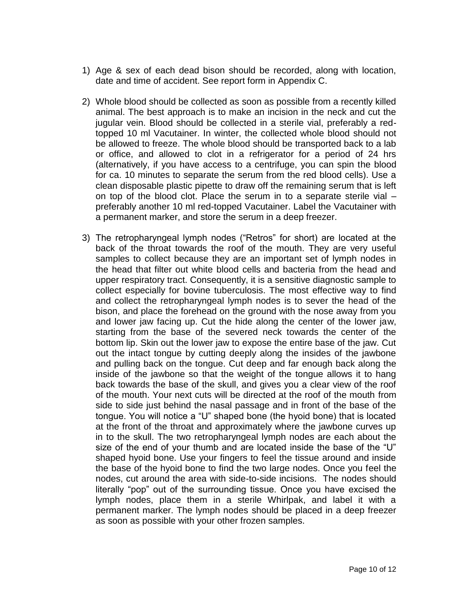- 1) Age & sex of each dead bison should be recorded, along with location, date and time of accident. See report form in Appendix C.
- 2) Whole blood should be collected as soon as possible from a recently killed animal. The best approach is to make an incision in the neck and cut the jugular vein. Blood should be collected in a sterile vial, preferably a redtopped 10 ml Vacutainer. In winter, the collected whole blood should not be allowed to freeze. The whole blood should be transported back to a lab or office, and allowed to clot in a refrigerator for a period of 24 hrs (alternatively, if you have access to a centrifuge, you can spin the blood for ca. 10 minutes to separate the serum from the red blood cells). Use a clean disposable plastic pipette to draw off the remaining serum that is left on top of the blood clot. Place the serum in to a separate sterile vial – preferably another 10 ml red-topped Vacutainer. Label the Vacutainer with a permanent marker, and store the serum in a deep freezer.
- 3) The retropharyngeal lymph nodes ("Retros" for short) are located at the back of the throat towards the roof of the mouth. They are very useful samples to collect because they are an important set of lymph nodes in the head that filter out white blood cells and bacteria from the head and upper respiratory tract. Consequently, it is a sensitive diagnostic sample to collect especially for bovine tuberculosis. The most effective way to find and collect the retropharyngeal lymph nodes is to sever the head of the bison, and place the forehead on the ground with the nose away from you and lower jaw facing up. Cut the hide along the center of the lower jaw, starting from the base of the severed neck towards the center of the bottom lip. Skin out the lower jaw to expose the entire base of the jaw. Cut out the intact tongue by cutting deeply along the insides of the jawbone and pulling back on the tongue. Cut deep and far enough back along the inside of the jawbone so that the weight of the tongue allows it to hang back towards the base of the skull, and gives you a clear view of the roof of the mouth. Your next cuts will be directed at the roof of the mouth from side to side just behind the nasal passage and in front of the base of the tongue. You will notice a "U" shaped bone (the hyoid bone) that is located at the front of the throat and approximately where the jawbone curves up in to the skull. The two retropharyngeal lymph nodes are each about the size of the end of your thumb and are located inside the base of the "U" shaped hyoid bone. Use your fingers to feel the tissue around and inside the base of the hyoid bone to find the two large nodes. Once you feel the nodes, cut around the area with side-to-side incisions. The nodes should literally "pop" out of the surrounding tissue. Once you have excised the lymph nodes, place them in a sterile Whirlpak, and label it with a permanent marker. The lymph nodes should be placed in a deep freezer as soon as possible with your other frozen samples.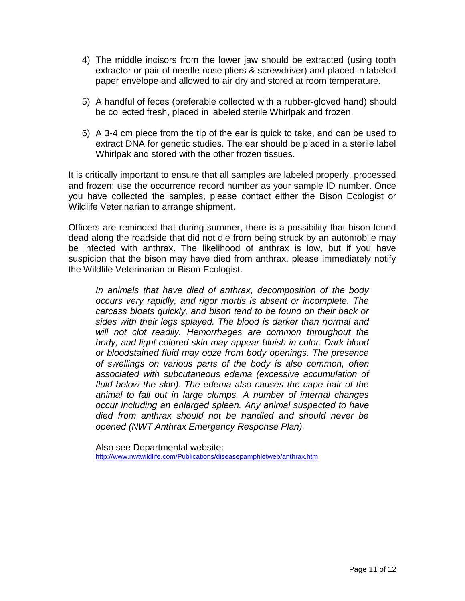- 4) The middle incisors from the lower jaw should be extracted (using tooth extractor or pair of needle nose pliers & screwdriver) and placed in labeled paper envelope and allowed to air dry and stored at room temperature.
- 5) A handful of feces (preferable collected with a rubber-gloved hand) should be collected fresh, placed in labeled sterile Whirlpak and frozen.
- 6) A 3-4 cm piece from the tip of the ear is quick to take, and can be used to extract DNA for genetic studies. The ear should be placed in a sterile label Whirlpak and stored with the other frozen tissues.

It is critically important to ensure that all samples are labeled properly, processed and frozen; use the occurrence record number as your sample ID number. Once you have collected the samples, please contact either the Bison Ecologist or Wildlife Veterinarian to arrange shipment.

Officers are reminded that during summer, there is a possibility that bison found dead along the roadside that did not die from being struck by an automobile may be infected with anthrax. The likelihood of anthrax is low, but if you have suspicion that the bison may have died from anthrax, please immediately notify the Wildlife Veterinarian or Bison Ecologist.

*In animals that have died of anthrax, decomposition of the body occurs very rapidly, and rigor mortis is absent or incomplete. The carcass bloats quickly, and bison tend to be found on their back or sides with their legs splayed. The blood is darker than normal and will not clot readily. Hemorrhages are common throughout the body, and light colored skin may appear bluish in color. Dark blood or bloodstained fluid may ooze from body openings. The presence of swellings on various parts of the body is also common, often associated with subcutaneous edema (excessive accumulation of fluid below the skin). The edema also causes the cape hair of the animal to fall out in large clumps. A number of internal changes occur including an enlarged spleen. Any animal suspected to have died from anthrax should not be handled and should never be opened (NWT Anthrax Emergency Response Plan).* 

Also see Departmental website: <http://www.nwtwildlife.com/Publications/diseasepamphletweb/anthrax.htm>